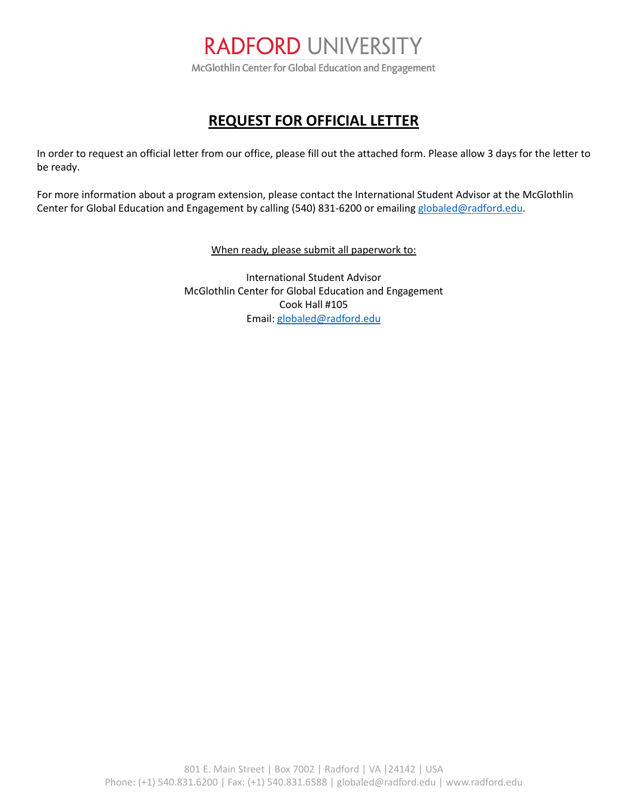

## **REQUEST FOR OFFICIAL LETTER**

In order to request an official letter from our office, please fill out the attached form. Please allow 3 days for the letter to be ready.

For more information about a program extension, please contact the International Student Advisor at the McGlothlin Center for Global Education and Engagement by calling (540) 831-6200 or emailing [globaled@radford.edu.](mailto:globaled@radford.edu)

When ready, please submit all paperwork to:

International Student Advisor McGlothlin Center for Global Education and Engagement Cook Hall #105 Email[: globaled@radford.edu](mailto:globaled@radford.edu)